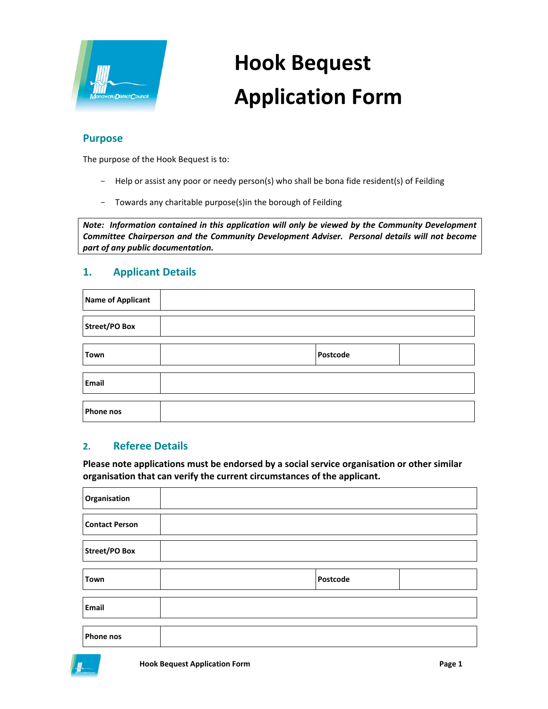

# **Hook Bequest Application Form**

### **Purpose**

The purpose of the Hook Bequest is to:

- Help or assist any poor or needy person(s) who shall be bona fide resident(s) of Feilding
- Towards any charitable purpose(s)in the borough of Feilding

*Note: Information contained in this application will only be viewed by the Community Development Committee Chairperson and the Community Development Adviser. Personal details will not become part of any public documentation.*

# **1. Applicant Details**

| Name of Applicant |          |  |
|-------------------|----------|--|
| Street/PO Box     |          |  |
| Town              | Postcode |  |
| Email             |          |  |
| <b>Phone nos</b>  |          |  |

#### **2. Referee Details**

**Please note applications must be endorsed by a social service organisation or other similar organisation that can verify the current circumstances of the applicant.**

| Organisation          |          |  |
|-----------------------|----------|--|
| <b>Contact Person</b> |          |  |
| <b>Street/PO Box</b>  |          |  |
| Town                  | Postcode |  |
| Email                 |          |  |
| <b>Phone nos</b>      |          |  |

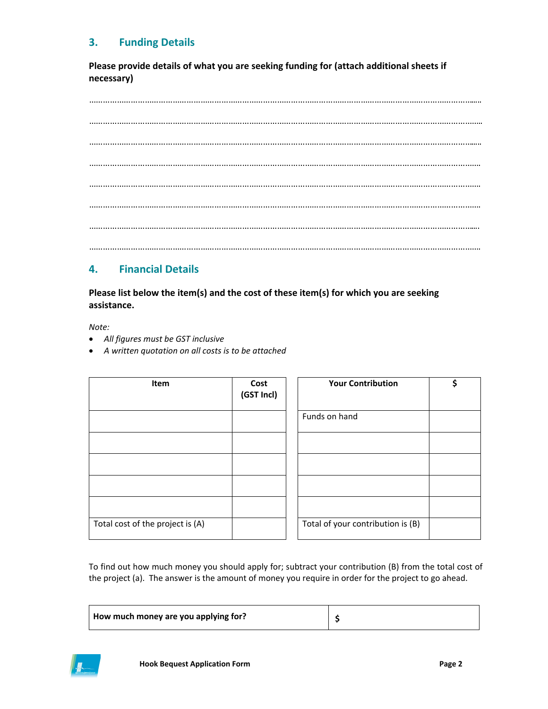# **3. Funding Details**

**Please provide details of what you are seeking funding for (attach additional sheets if necessary)**

…………………………………………………………………………………………………………………………………………………..... …………………………………………………………………………………………………………………………………………………….. …………………………………………………………………………………………………………………………………………………..... ……………………………………………………………………………………………………………………………………………………. ……………………………………………………………………………………………………………………………………………………. ……………………………………………………………………………………………………………………………………………………. ………………………………………………………………………………………………………………………………………………….... …………………………………………………………………………………………………………………………………………………….

# **4. Financial Details**

**Please list below the item(s) and the cost of these item(s) for which you are seeking assistance.**

*Note:*

- *All figures must be GST inclusive*
- *A written quotation on all costs is to be attached*

| Item                             | Cost<br>(GST Incl) | <b>Your Contribution</b>          | \$ |
|----------------------------------|--------------------|-----------------------------------|----|
|                                  |                    | Funds on hand                     |    |
|                                  |                    |                                   |    |
|                                  |                    |                                   |    |
|                                  |                    |                                   |    |
|                                  |                    |                                   |    |
| Total cost of the project is (A) |                    | Total of your contribution is (B) |    |

To find out how much money you should apply for; subtract your contribution (B) from the total cost of the project (a). The answer is the amount of money you require in order for the project to go ahead.

| How much money are you applying for? |  |
|--------------------------------------|--|
|--------------------------------------|--|

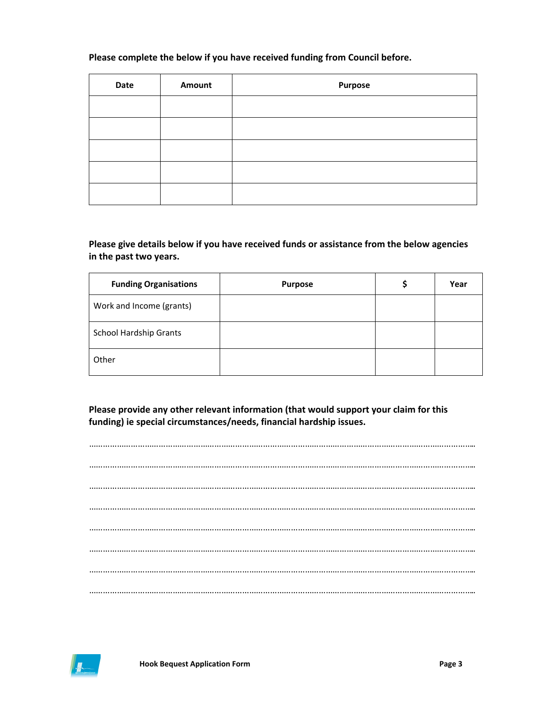#### **Please complete the below if you have received funding from Council before.**

| Date | <b>Amount</b> | <b>Purpose</b> |
|------|---------------|----------------|
|      |               |                |
|      |               |                |
|      |               |                |
|      |               |                |
|      |               |                |

#### **Please give details below if you have received funds or assistance from the below agencies in the past two years.**

| <b>Funding Organisations</b>  | <b>Purpose</b> | Year |
|-------------------------------|----------------|------|
| Work and Income (grants)      |                |      |
| <b>School Hardship Grants</b> |                |      |
| Other                         |                |      |

**Please provide any other relevant information (that would support your claim for this funding) ie special circumstances/needs, financial hardship issues.**

………………………………………………………………………………………………………………………………………………….. ………………………………………………………………………………………………………………………………………………….. ………………………………………………………………………………………………………………………………………………….. ………………………………………………………………………………………………………………………………………………….. ………………………………………………………………………………………………………………………………………………….. ………………………………………………………………………………………………………………………………………………….. ………………………………………………………………………………………………………………………………………………….. …………………………………………………………………………………………………………………………………………………..

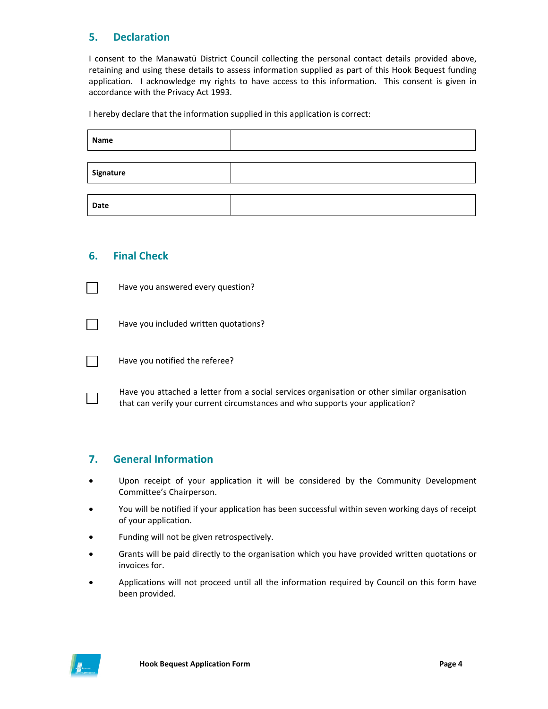# **5. Declaration**

I consent to the Manawatū District Council collecting the personal contact details provided above, retaining and using these details to assess information supplied as part of this Hook Bequest funding application. I acknowledge my rights to have access to this information. This consent is given in accordance with the Privacy Act 1993.

I hereby declare that the information supplied in this application is correct:

| Name      |  |  |
|-----------|--|--|
|           |  |  |
| Signature |  |  |
|           |  |  |
| Date      |  |  |

#### **6. Final Check**



Have you answered every question?

Have you included written quotations?

Have you notified the referee?

Have you attached a letter from a social services organisation or other similar organisation that can verify your current circumstances and who supports your application?

#### **7. General Information**

- Upon receipt of your application it will be considered by the Community Development Committee's Chairperson.
- You will be notified if your application has been successful within seven working days of receipt of your application.
- Funding will not be given retrospectively.
- Grants will be paid directly to the organisation which you have provided written quotations or invoices for.
- Applications will not proceed until all the information required by Council on this form have been provided.